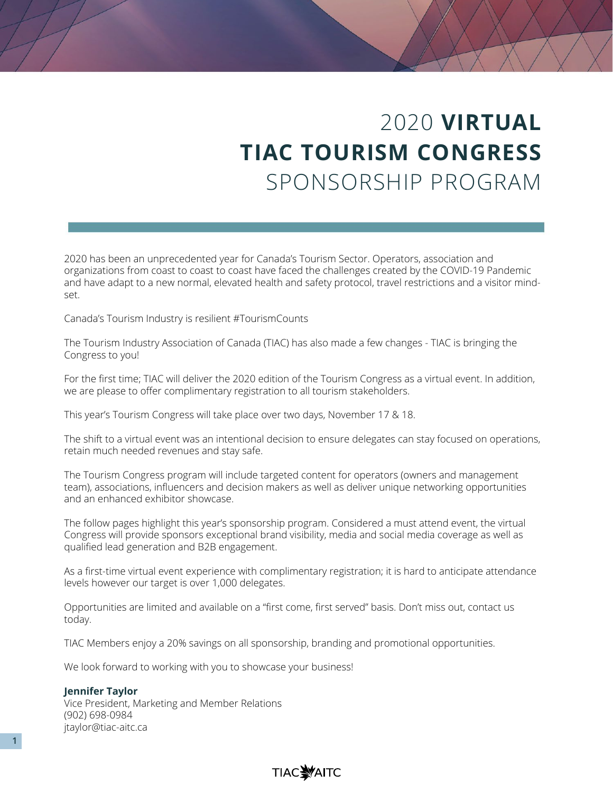# 2020 **VIRTUAL TIAC TOURISM CONGRESS** SPONSORSHIP PROGRAM

2020 has been an unprecedented year for Canada's Tourism Sector. Operators, association and organizations from coast to coast to coast have faced the challenges created by the COVID-19 Pandemic and have adapt to a new normal, elevated health and safety protocol, travel restrictions and a visitor mindset.

Canada's Tourism Industry is resilient #TourismCounts

The Tourism Industry Association of Canada (TIAC) has also made a few changes - TIAC is bringing the Congress to you!

For the first time; TIAC will deliver the 2020 edition of the Tourism Congress as a virtual event. In addition, we are please to offer complimentary registration to all tourism stakeholders.

This year's Tourism Congress will take place over two days, November 17 & 18.

The shift to a virtual event was an intentional decision to ensure delegates can stay focused on operations, retain much needed revenues and stay safe.

The Tourism Congress program will include targeted content for operators (owners and management team), associations, influencers and decision makers as well as deliver unique networking opportunities and an enhanced exhibitor showcase.

The follow pages highlight this year's sponsorship program. Considered a must attend event, the virtual Congress will provide sponsors exceptional brand visibility, media and social media coverage as well as qualified lead generation and B2B engagement.

As a first-time virtual event experience with complimentary registration; it is hard to anticipate attendance levels however our target is over 1,000 delegates.

Opportunities are limited and available on a "first come, first served" basis. Don't miss out, contact us today.

TIAC Members enjoy a 20% savings on all sponsorship, branding and promotional opportunities.

We look forward to working with you to showcase your business!

#### **Jennifer Taylor**

Vice President, Marketing and Member Relations (902) 698-0984 jtaylor@tiac-aitc.ca

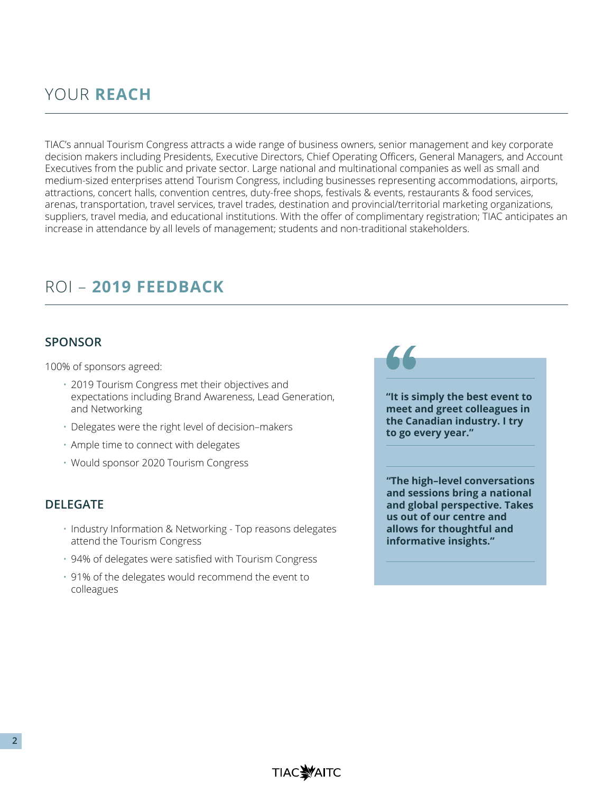## YOUR **REACH**

TIAC's annual Tourism Congress attracts a wide range of business owners, senior management and key corporate decision makers including Presidents, Executive Directors, Chief Operating Officers, General Managers, and Account Executives from the public and private sector. Large national and multinational companies as well as small and medium-sized enterprises attend Tourism Congress, including businesses representing accommodations, airports, attractions, concert halls, convention centres, duty-free shops, festivals & events, restaurants & food services, arenas, transportation, travel services, travel trades, destination and provincial/territorial marketing organizations, suppliers, travel media, and educational institutions. With the offer of complimentary registration; TIAC anticipates an increase in attendance by all levels of management; students and non-traditional stakeholders.

## ROI – **2019 FEEDBACK**

### **SPONSOR**

100% of sponsors agreed:

- 2019 Tourism Congress met their objectives and expectations including Brand Awareness, Lead Generation, and Networking
- Delegates were the right level of decision–makers
- Ample time to connect with delegates
- Would sponsor 2020 Tourism Congress

#### **DELEGATE**

- Industry Information & Networking Top reasons delegates attend the Tourism Congress
- 94% of delegates were satisfied with Tourism Congress
- 91% of the delegates would recommend the event to colleagues

**"It is simply the best event to meet and greet colleagues in the Canadian industry. I try** 

**to go every year."**

**"The high–level conversations and sessions bring a national and global perspective. Takes us out of our centre and allows for thoughtful and informative insights."**

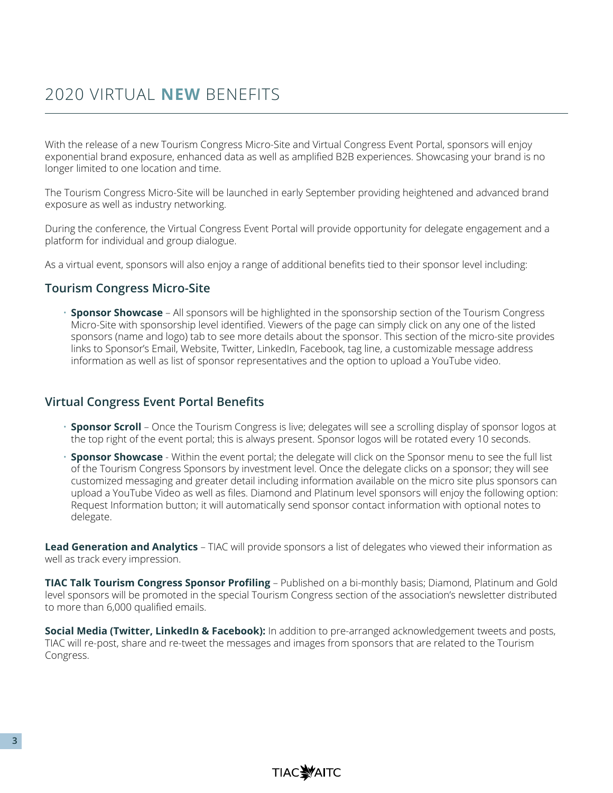With the release of a new Tourism Congress Micro-Site and Virtual Congress Event Portal, sponsors will enjoy exponential brand exposure, enhanced data as well as amplified B2B experiences. Showcasing your brand is no longer limited to one location and time.

The Tourism Congress Micro-Site will be launched in early September providing heightened and advanced brand exposure as well as industry networking.

During the conference, the Virtual Congress Event Portal will provide opportunity for delegate engagement and a platform for individual and group dialogue.

As a virtual event, sponsors will also enjoy a range of additional benefits tied to their sponsor level including:

### **Tourism Congress Micro-Site**

• **Sponsor Showcase** – All sponsors will be highlighted in the sponsorship section of the Tourism Congress Micro-Site with sponsorship level identified. Viewers of the page can simply click on any one of the listed sponsors (name and logo) tab to see more details about the sponsor. This section of the micro-site provides links to Sponsor's Email, Website, Twitter, LinkedIn, Facebook, tag line, a customizable message address information as well as list of sponsor representatives and the option to upload a YouTube video.

### **Virtual Congress Event Portal Benefits**

- **Sponsor Scroll** Once the Tourism Congress is live; delegates will see a scrolling display of sponsor logos at the top right of the event portal; this is always present. Sponsor logos will be rotated every 10 seconds.
- **Sponsor Showcase** Within the event portal; the delegate will click on the Sponsor menu to see the full list of the Tourism Congress Sponsors by investment level. Once the delegate clicks on a sponsor; they will see customized messaging and greater detail including information available on the micro site plus sponsors can upload a YouTube Video as well as files. Diamond and Platinum level sponsors will enjoy the following option: Request Information button; it will automatically send sponsor contact information with optional notes to delegate.

**Lead Generation and Analytics** – TIAC will provide sponsors a list of delegates who viewed their information as well as track every impression.

**TIAC Talk Tourism Congress Sponsor Profiling** – Published on a bi-monthly basis; Diamond, Platinum and Gold level sponsors will be promoted in the special Tourism Congress section of the association's newsletter distributed to more than 6,000 qualified emails.

**Social Media (Twitter, LinkedIn & Facebook):** In addition to pre-arranged acknowledgement tweets and posts, TIAC will re-post, share and re-tweet the messages and images from sponsors that are related to the Tourism Congress.

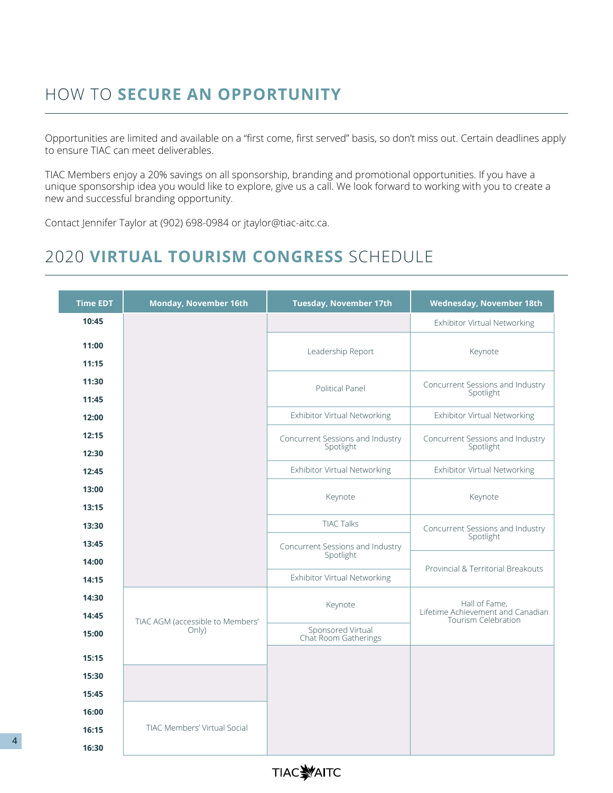## HOW TO **SECURE AN OPPORTUNITY**

Opportunities are limited and available on a "first come, first served" basis, so don't miss out. Certain deadlines apply to ensure TIAC can meet deliverables.

TIAC Members enjoy a 20% savings on all sponsorship, branding and promotional opportunities. If you have a unique sponsorship idea you would like to explore, give us a call. We look forward to working with you to create a new and successful branding opportunity.

Contact Jennifer Taylor at (902) 698-0984 or jtaylor@tiac-aitc.ca.

## 2020 **VIRTUAL TOURISM CONGRESS** SCHEDULE

| <b>Time EDT</b> | <b>Monday, November 16th</b>                      | <b>Tuesday, November 17th</b>                 | <b>Wednesday, November 18th</b>                    |  |  |
|-----------------|---------------------------------------------------|-----------------------------------------------|----------------------------------------------------|--|--|
| 10:45           |                                                   |                                               | <b>Exhibitor Virtual Networking</b>                |  |  |
| 11:00<br>11:15  |                                                   | Leadership Report                             | Keynote                                            |  |  |
| 11:30<br>11:45  |                                                   | Political Panel                               |                                                    |  |  |
| 12:00           |                                                   | Exhibitor Virtual Networking                  |                                                    |  |  |
| 12:15<br>12:30  |                                                   | Concurrent Sessions and Industry<br>Spotlight |                                                    |  |  |
| 12:45           |                                                   | Exhibitor Virtual Networking                  |                                                    |  |  |
| 13:00<br>13:15  |                                                   | Keynote                                       |                                                    |  |  |
| 13:30           |                                                   | <b>TIAC Talks</b>                             | Concurrent Sessions and Industry                   |  |  |
| 13:45           |                                                   | Concurrent Sessions and Industry              | Spotlight                                          |  |  |
| 14:00           |                                                   | Spotlight                                     | Provincial & Territorial Breakouts                 |  |  |
| 14:15           |                                                   | Exhibitor Virtual Networking                  |                                                    |  |  |
| 14:30           |                                                   | Keynote                                       | Hall of Fame,<br>Lifetime Achievement and Canadian |  |  |
| 14:45<br>15:00  | TIAC AGM (accessible to Members'<br>$On V\rangle$ | Sponsored Virtual                             | Tourism Celebration                                |  |  |
|                 |                                                   | Chat Room Gatherings                          |                                                    |  |  |
| 15:15           |                                                   |                                               |                                                    |  |  |
| 15:30           |                                                   |                                               |                                                    |  |  |
| 15:45           |                                                   |                                               |                                                    |  |  |
| 16:00           |                                                   |                                               |                                                    |  |  |
| 16:15           | <b>TIAC Members' Virtual Social</b>               |                                               |                                                    |  |  |
| 16:30           |                                                   |                                               |                                                    |  |  |

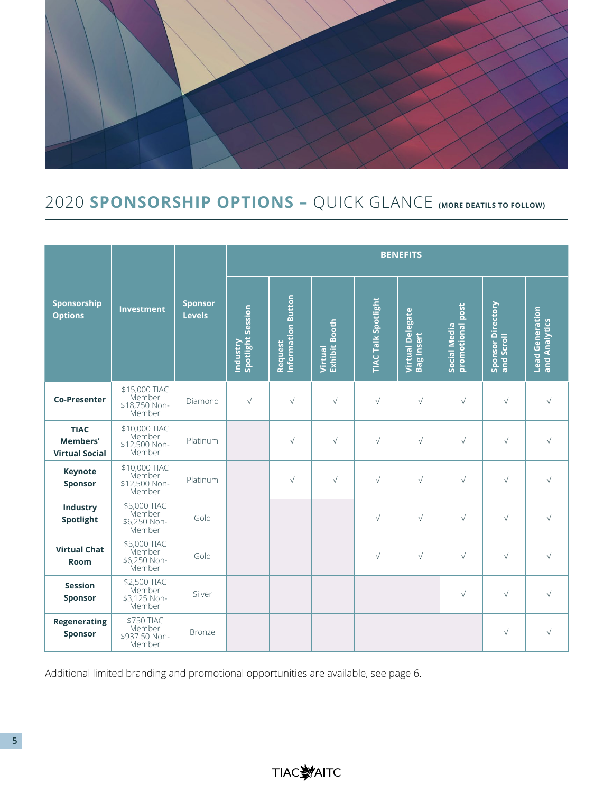

## 2020 **SPONSORSHIP OPTIONS –** QUICK GLANCE **(MORE DEATILS TO FOLLOW)**

|                                                  |                                                    |                                 | <b>BENEFITS</b>               |                               |                                 |                            |                                              |                                  |                                 |                                         |
|--------------------------------------------------|----------------------------------------------------|---------------------------------|-------------------------------|-------------------------------|---------------------------------|----------------------------|----------------------------------------------|----------------------------------|---------------------------------|-----------------------------------------|
| Sponsorship<br><b>Options</b>                    | <b>Investment</b>                                  | <b>Sponsor</b><br><b>Levels</b> | Spotlight Session<br>Industry | Information Button<br>Request | <b>Exhibit Booth</b><br>Virtual | <b>TIAC Talk Spotlight</b> | <b>Virtual Delegate</b><br><b>Bag Insert</b> | promotional post<br>Social Media | Sponsor Directory<br>and Scroll | <b>Lead Generation</b><br>and Analytics |
| <b>Co-Presenter</b>                              | \$15,000 TIAC<br>Member<br>\$18,750 Non-<br>Member | Diamond                         | $\sqrt{}$                     | $\sqrt{}$                     | $\sqrt{}$                       | $\sqrt{}$                  | $\sqrt{}$                                    | $\sqrt{}$                        | $\sqrt{}$                       | $\sqrt{}$                               |
| <b>TIAC</b><br>Members'<br><b>Virtual Social</b> | \$10,000 TIAC<br>Member<br>\$12,500 Non-<br>Member | Platinum                        |                               | $\sqrt{}$                     | $\sqrt{}$                       | $\sqrt{}$                  | $\sqrt{}$                                    | $\sqrt{}$                        | $\sqrt{}$                       | $\sqrt{}$                               |
| <b>Keynote</b><br>Sponsor                        | \$10,000 TIAC<br>Member<br>\$12,500 Non-<br>Member | Platinum                        |                               | $\sqrt{}$                     | $\sqrt{}$                       | $\sqrt{}$                  | $\sqrt{}$                                    | $\sqrt{}$                        | $\sqrt{}$                       | $\sqrt{}$                               |
| Industry<br>Spotlight                            | \$5,000 TIAC<br>Member<br>\$6,250 Non-<br>Member   | Gold                            |                               |                               |                                 | $\sqrt{}$                  | $\sqrt{}$                                    | $\sqrt{}$                        | $\sqrt{}$                       | $\sqrt{}$                               |
| <b>Virtual Chat</b><br>Room                      | \$5,000 TIAC<br>Member<br>\$6,250 Non-<br>Member   | Gold                            |                               |                               |                                 | $\sqrt{}$                  | $\sqrt{}$                                    | $\sqrt{}$                        | $\sqrt{}$                       | $\sqrt{}$                               |
| <b>Session</b><br><b>Sponsor</b>                 | \$2,500 TIAC<br>Member<br>\$3,125 Non-<br>Member   | Silver                          |                               |                               |                                 |                            |                                              | $\sqrt{}$                        | $\sqrt{}$                       | $\sqrt{}$                               |
| <b>Regenerating</b><br><b>Sponsor</b>            | \$750 TIAC<br>Member<br>\$937.50 Non-<br>Member    | Bronze                          |                               |                               |                                 |                            |                                              |                                  | $\sqrt{}$                       | $\sqrt{}$                               |

Additional limited branding and promotional opportunities are available, see page 6.

## **TIACWAITC**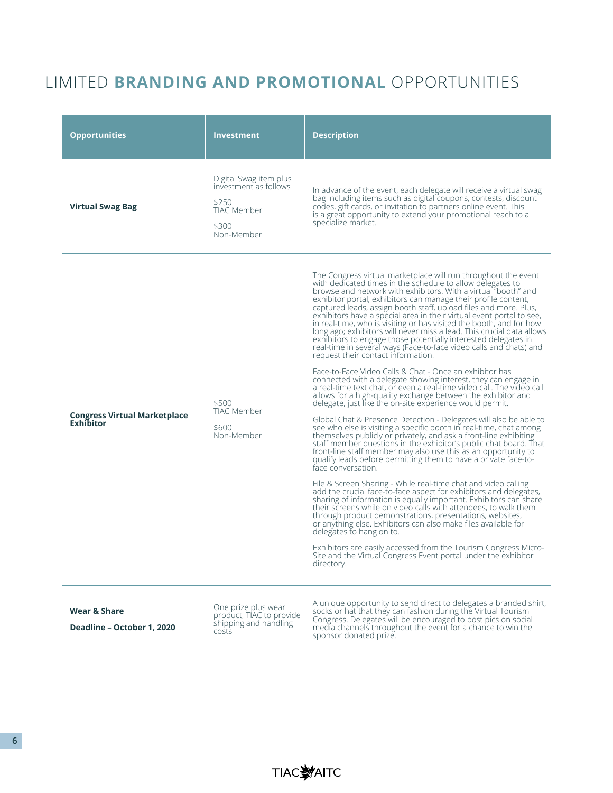## LIMITED **BRANDING AND PROMOTIONAL** OPPORTUNITIES

| <b>Opportunities</b>                                                                                                            | <b>Investment</b>                                                                                     | <b>Description</b>                                                                                                                                                                                                                                                                                                                                                                                                                                                                                                                                                                                                                                                                                                                                                                                                                                                                                                                                                                                                                                                                                                                                                                                                                                                                                                                                                                                                                                                                                                                                                                                                                                                                                                                                                                                                                                                                                                                                                                                                                                                                                                       |  |  |  |
|---------------------------------------------------------------------------------------------------------------------------------|-------------------------------------------------------------------------------------------------------|--------------------------------------------------------------------------------------------------------------------------------------------------------------------------------------------------------------------------------------------------------------------------------------------------------------------------------------------------------------------------------------------------------------------------------------------------------------------------------------------------------------------------------------------------------------------------------------------------------------------------------------------------------------------------------------------------------------------------------------------------------------------------------------------------------------------------------------------------------------------------------------------------------------------------------------------------------------------------------------------------------------------------------------------------------------------------------------------------------------------------------------------------------------------------------------------------------------------------------------------------------------------------------------------------------------------------------------------------------------------------------------------------------------------------------------------------------------------------------------------------------------------------------------------------------------------------------------------------------------------------------------------------------------------------------------------------------------------------------------------------------------------------------------------------------------------------------------------------------------------------------------------------------------------------------------------------------------------------------------------------------------------------------------------------------------------------------------------------------------------------|--|--|--|
| <b>Virtual Swag Bag</b>                                                                                                         | Digital Swag item plus<br>investment as follows<br>\$250<br><b>TIAC Member</b><br>\$300<br>Non-Member | In advance of the event, each delegate will receive a virtual swag<br>bag including items such as digital coupons, contests, discount<br>codes, gift cards, or invitation to partners online event. This<br>is a great opportunity to extend your promotional reach to a<br>specialize market.                                                                                                                                                                                                                                                                                                                                                                                                                                                                                                                                                                                                                                                                                                                                                                                                                                                                                                                                                                                                                                                                                                                                                                                                                                                                                                                                                                                                                                                                                                                                                                                                                                                                                                                                                                                                                           |  |  |  |
| <b>Congress Virtual Marketplace</b><br><b>Exhibitor</b>                                                                         | \$500<br><b>TIAC Member</b><br>\$600<br>Non-Member                                                    | The Congress virtual marketplace will run throughout the event<br>with dedicated times in the schedule to allow delegates to<br>browse and network with exhibitors. With a virtual "booth" and<br>exhibitor portal, exhibitors can manage their profile content,<br>captured leads, assign booth staff, upload files and more. Plus,<br>exhibitors have a special area in their virtual event portal to see,<br>in real-time, who is visiting or has visited the booth, and for how<br>long ago; exhibitors will never miss a lead. This crucial data allows<br>exhibitors to engage those potentially interested delegates in<br>real-time in several ways (Face-to-face video calls and chats) and<br>request their contact information.<br>Face-to-Face Video Calls & Chat - Once an exhibitor has<br>connected with a delegate showing interest, they can engage in<br>a real-time text chat, or even a real-time video call. The video call<br>allows for a high-quality exchange between the exhibitor and<br>delegate, just like the on-site experience would permit.<br>Global Chat & Presence Detection - Delegates will also be able to<br>see who else is visiting a specific booth in real-time, chat among<br>themselves publicly or privately, and ask a front-line exhibiting<br>staff member questions in the exhibitor's public chat board. That<br>front-line staff member may also use this as an opportunity to<br>qualify leads before permitting them to have a private face-to-<br>face conversation.<br>File & Screen Sharing - While real-time chat and video calling<br>add the crucial face-to-face aspect for exhibitors and delegates,<br>sharing of information is equally important. Exhibitors can share<br>their screens while on video calls with attendees, to walk them<br>through product demonstrations, presentations, websites,<br>or anything else. Exhibitors can also make files available for<br>delegates to hang on to.<br>Exhibitors are easily accessed from the Tourism Congress Micro-<br>Site and the Virtual Congress Event portal under the exhibitor<br>directory. |  |  |  |
| One prize plus wear<br>Wear & Share<br>product, TIAC to provide<br>shipping and handling<br>Deadline - October 1, 2020<br>costs |                                                                                                       | A unique opportunity to send direct to delegates a branded shirt,<br>socks or hat that they can fashion during the Virtual Tourism<br>Congress. Delegates will be encouraged to post pics on social<br>media channels throughout the event for a chance to win the<br>sponsor donated prize.                                                                                                                                                                                                                                                                                                                                                                                                                                                                                                                                                                                                                                                                                                                                                                                                                                                                                                                                                                                                                                                                                                                                                                                                                                                                                                                                                                                                                                                                                                                                                                                                                                                                                                                                                                                                                             |  |  |  |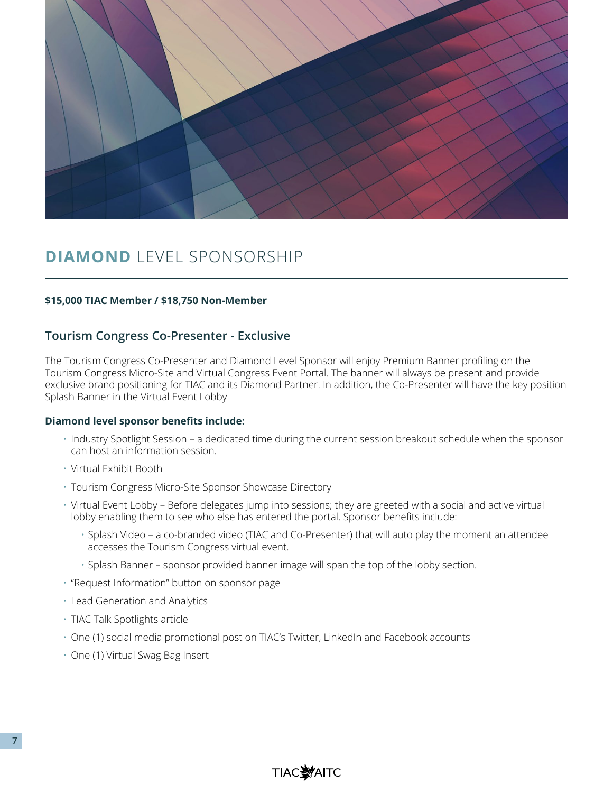

## **DIAMOND** LEVEL SPONSORSHIP

#### **\$15,000 TIAC Member / \$18,750 Non-Member**

### **Tourism Congress Co-Presenter - Exclusive**

The Tourism Congress Co-Presenter and Diamond Level Sponsor will enjoy Premium Banner profiling on the Tourism Congress Micro-Site and Virtual Congress Event Portal. The banner will always be present and provide exclusive brand positioning for TIAC and its Diamond Partner. In addition, the Co-Presenter will have the key position Splash Banner in the Virtual Event Lobby

#### **Diamond level sponsor benefits include:**

- Industry Spotlight Session a dedicated time during the current session breakout schedule when the sponsor can host an information session.
- Virtual Exhibit Booth
- Tourism Congress Micro-Site Sponsor Showcase Directory
- Virtual Event Lobby Before delegates jump into sessions; they are greeted with a social and active virtual lobby enabling them to see who else has entered the portal. Sponsor benefits include:
	- Splash Video a co-branded video (TIAC and Co-Presenter) that will auto play the moment an attendee accesses the Tourism Congress virtual event.
	- Splash Banner sponsor provided banner image will span the top of the lobby section.
- "Request Information" button on sponsor page
- Lead Generation and Analytics
- TIAC Talk Spotlights article
- One (1) social media promotional post on TIAC's Twitter, LinkedIn and Facebook accounts
- One (1) Virtual Swag Bag Insert

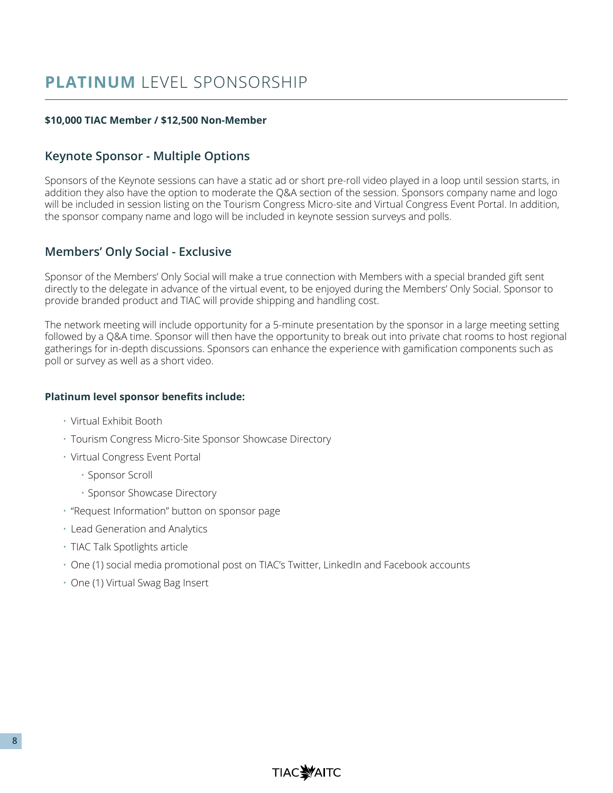#### **\$10,000 TIAC Member / \$12,500 Non-Member**

### **Keynote Sponsor - Multiple Options**

Sponsors of the Keynote sessions can have a static ad or short pre-roll video played in a loop until session starts, in addition they also have the option to moderate the Q&A section of the session. Sponsors company name and logo will be included in session listing on the Tourism Congress Micro-site and Virtual Congress Event Portal. In addition, the sponsor company name and logo will be included in keynote session surveys and polls.

## **Members' Only Social - Exclusive**

Sponsor of the Members' Only Social will make a true connection with Members with a special branded gift sent directly to the delegate in advance of the virtual event, to be enjoyed during the Members' Only Social. Sponsor to provide branded product and TIAC will provide shipping and handling cost.

The network meeting will include opportunity for a 5-minute presentation by the sponsor in a large meeting setting followed by a Q&A time. Sponsor will then have the opportunity to break out into private chat rooms to host regional gatherings for in-depth discussions. Sponsors can enhance the experience with gamification components such as poll or survey as well as a short video.

#### **Platinum level sponsor benefits include:**

- Virtual Exhibit Booth
- Tourism Congress Micro-Site Sponsor Showcase Directory
- Virtual Congress Event Portal
	- Sponsor Scroll
	- Sponsor Showcase Directory
- "Request Information" button on sponsor page
- Lead Generation and Analytics
- TIAC Talk Spotlights article
- One (1) social media promotional post on TIAC's Twitter, LinkedIn and Facebook accounts
- One (1) Virtual Swag Bag Insert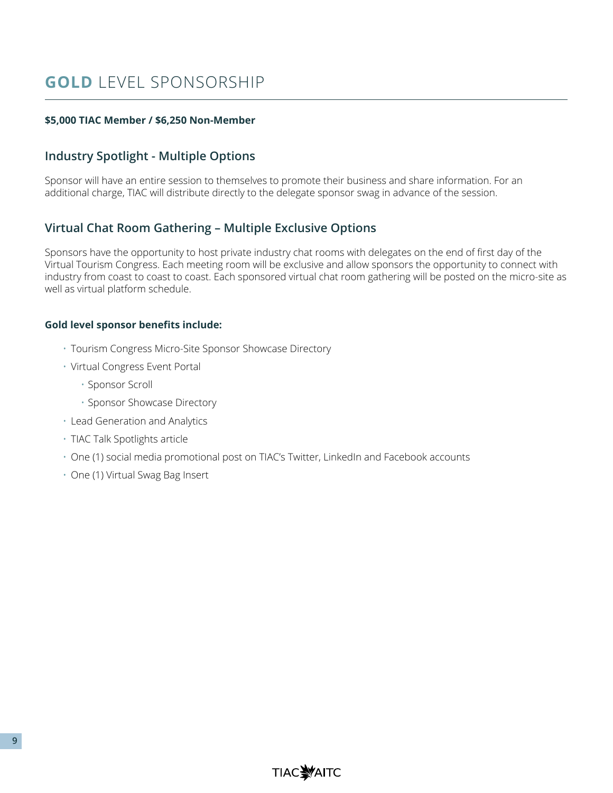## **GOLD** LEVEL SPONSORSHIP

### **\$5,000 TIAC Member / \$6,250 Non-Member**

## **Industry Spotlight - Multiple Options**

Sponsor will have an entire session to themselves to promote their business and share information. For an additional charge, TIAC will distribute directly to the delegate sponsor swag in advance of the session.

### **Virtual Chat Room Gathering – Multiple Exclusive Options**

Sponsors have the opportunity to host private industry chat rooms with delegates on the end of first day of the Virtual Tourism Congress. Each meeting room will be exclusive and allow sponsors the opportunity to connect with industry from coast to coast to coast. Each sponsored virtual chat room gathering will be posted on the micro-site as well as virtual platform schedule.

#### **Gold level sponsor benefits include:**

- Tourism Congress Micro-Site Sponsor Showcase Directory
- Virtual Congress Event Portal
	- Sponsor Scroll
	- Sponsor Showcase Directory
- Lead Generation and Analytics
- TIAC Talk Spotlights article
- One (1) social media promotional post on TIAC's Twitter, LinkedIn and Facebook accounts
- One (1) Virtual Swag Bag Insert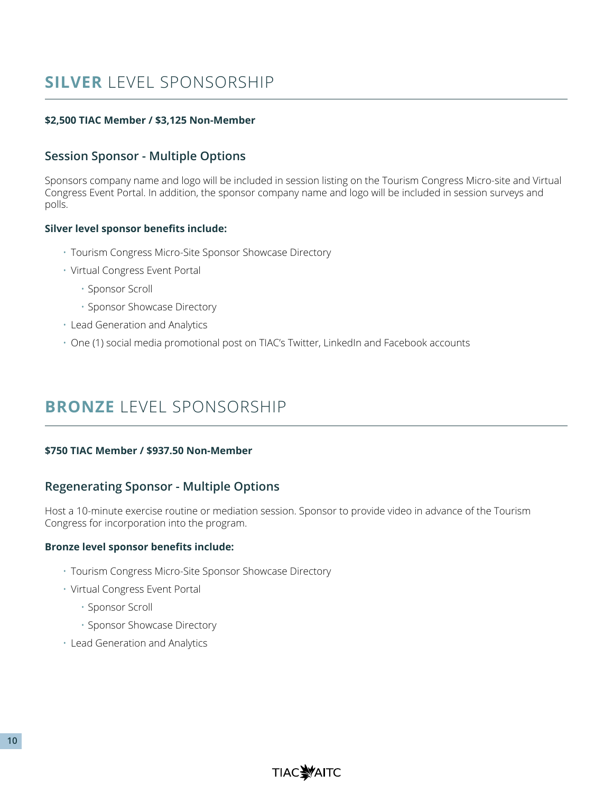## **SILVER** LEVEL SPONSORSHIP

### **\$2,500 TIAC Member / \$3,125 Non-Member**

### **Session Sponsor - Multiple Options**

Sponsors company name and logo will be included in session listing on the Tourism Congress Micro-site and Virtual Congress Event Portal. In addition, the sponsor company name and logo will be included in session surveys and polls.

#### **Silver level sponsor benefits include:**

- Tourism Congress Micro-Site Sponsor Showcase Directory
- Virtual Congress Event Portal
	- Sponsor Scroll
	- Sponsor Showcase Directory
- Lead Generation and Analytics
- One (1) social media promotional post on TIAC's Twitter, LinkedIn and Facebook accounts

## **BRONZE** LEVEL SPONSORSHIP

#### **\$750 TIAC Member / \$937.50 Non-Member**

### **Regenerating Sponsor - Multiple Options**

Host a 10-minute exercise routine or mediation session. Sponsor to provide video in advance of the Tourism Congress for incorporation into the program.

#### **Bronze level sponsor benefits include:**

- Tourism Congress Micro-Site Sponsor Showcase Directory
- Virtual Congress Event Portal
	- Sponsor Scroll
	- Sponsor Showcase Directory
- Lead Generation and Analytics

**TIAC WAITC**